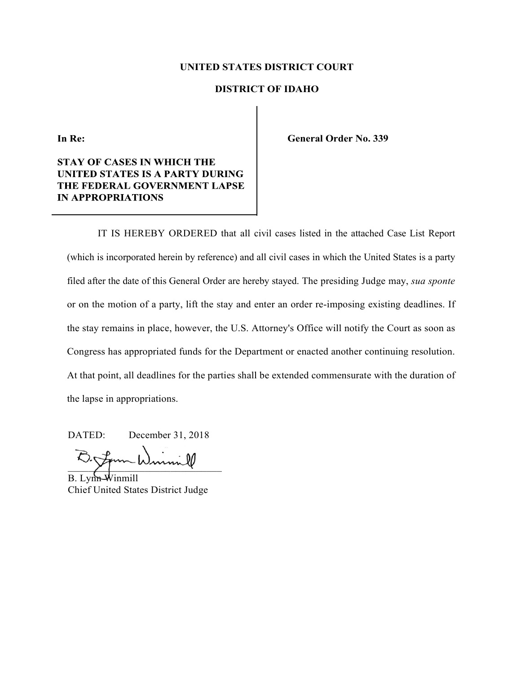#### **UNITED STATES DISTRICT COURT**

#### **DISTRICT OF IDAHO**

In Re:

#### **STAY OF CASES IN WHICH THE UNITED STATES IS A PARTY DURING** THE FEDERAL GOVERNMENT LAPSE **IN APPROPRIATIONS**

**General Order No. 339**

IT IS HEREBY ORDERED that all civil cases listed in the attached Case List Report (which is incorporated herein by reference) and all civil cases in which the United States is a party filed after the date of this General Order are hereby stayed. The presiding Judge may, *sua sponte*  or on the motion of a party, lift the stay and enter an order re-imposing existing deadlines. If the stay remains in place, however, the U.S. Attorney's Office will notify the Court as soon as Congress has appropriated funds for the Department or enacted another continuing resolution. At that point, all deadlines for the parties shall be extended commensurate with the duration of the lapse in appropriations.

DATED: December 31, 2018

 $\frac{1}{2}$ 

B. Lynn-Winmill Chief United States District Judge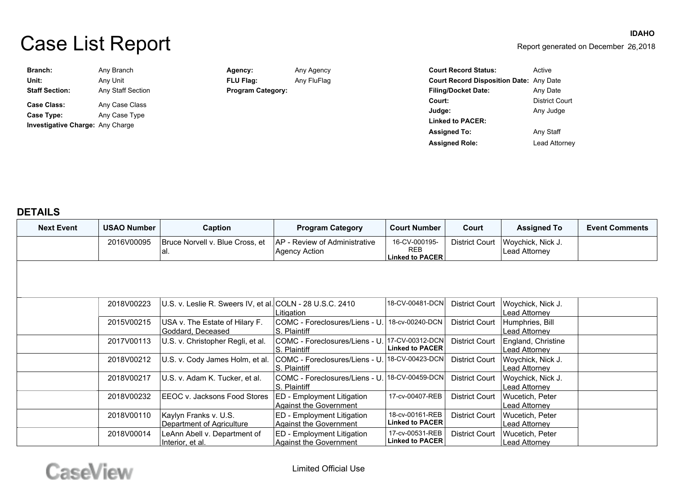# Case List Report

| <b>IDAHO</b>                         |
|--------------------------------------|
| Report generated on December 26,2018 |

| Branch:                                 | Any Branch        | Agency:                  | Any Agency  | <b>Court Record Status:</b>                    | Active                |
|-----------------------------------------|-------------------|--------------------------|-------------|------------------------------------------------|-----------------------|
| Unit:                                   | Any Unit          | <b>FLU Flag:</b>         | Any FluFlag | <b>Court Record Disposition Date: Any Date</b> |                       |
| <b>Staff Section:</b>                   | Any Staff Section | <b>Program Category:</b> |             | <b>Filing/Docket Date:</b>                     | Any Date              |
| <b>Case Class:</b>                      | Any Case Class    |                          |             | Court:                                         | <b>District Court</b> |
| Case Type:                              | Any Case Type     |                          |             | Judge:                                         | Any Judge             |
|                                         |                   |                          |             | <b>Linked to PACER:</b>                        |                       |
| <b>Investigative Charge: Any Charge</b> |                   | <b>Assigned To:</b>      |             |                                                | Any Staff             |
|                                         |                   |                          |             | <b>Assigned Role:</b>                          | Lead Attorney         |

#### **DETAILS**

| <b>Next Event</b> | <b>USAO Number</b> | Caption                                                   | <b>Program Category</b>                               | <b>Court Number</b>                                              | Court                 | <b>Assigned To</b>                  | <b>Event Comments</b> |
|-------------------|--------------------|-----------------------------------------------------------|-------------------------------------------------------|------------------------------------------------------------------|-----------------------|-------------------------------------|-----------------------|
|                   | 2016V00095         | Bruce Norvell v. Blue Cross, et<br>lal.                   | AP - Review of Administrative<br><b>Agency Action</b> | 16-CV-000195-<br><b>REB</b><br>Linked to $\mathsf{PACER}\xspace$ | <b>District Court</b> | Woychick, Nick J.<br>Lead Attorney  |                       |
|                   |                    |                                                           |                                                       |                                                                  |                       |                                     |                       |
|                   |                    |                                                           |                                                       |                                                                  |                       |                                     |                       |
|                   | 2018V00223         | U.S. v. Leslie R. Sweers IV, et al. COLN - 28 U.S.C. 2410 | Litigation                                            | 18-CV-00481-DCN                                                  | <b>District Court</b> | Woychick, Nick J.<br>Lead Attornev  |                       |
|                   | 2015V00215         | USA v. The Estate of Hilary F.<br>Goddard, Deceased       | COMC - Foreclosures/Liens - U.<br>S. Plaintiff        | 18-cv-00240-DCN                                                  | <b>District Court</b> | Humphries, Bill<br>Lead Attorney    |                       |
|                   | 2017V00113         | U.S. v. Christopher Regli, et al.                         | COMC - Foreclosures/Liens - U.<br>S. Plaintiff        | 17-CV-00312-DCN<br><b>Linked to PACER</b>                        | District Court        | England, Christine<br>Lead Attorney |                       |
|                   | 2018V00212         | U.S. v. Cody James Holm, et al.                           | COMC - Foreclosures/Liens - U.<br>S. Plaintiff        | 18-CV-00423-DCN                                                  | <b>District Court</b> | Woychick, Nick J.<br>Lead Attorney  |                       |
|                   | 2018V00217         | U.S. v. Adam K. Tucker, et al.                            | COMC - Foreclosures/Liens - U.<br>IS. Plaintiff       | 18-CV-00459-DCNl                                                 | <b>District Court</b> | Woychick, Nick J.<br>Lead Attorney  |                       |
|                   | 2018V00232         | EEOC v. Jacksons Food Stores                              | ED - Employment Litigation<br>Aqainst the Government  | 17-cv-00407-REB                                                  | <b>District Court</b> | Wucetich, Peter<br>Lead Attorney    |                       |
|                   | 2018V00110         | Kaylyn Franks v. U.S.<br>Department of Agriculture        | ED - Employment Litigation<br>Against the Government  | 18-cv-00161-REB<br><b>Linked to PACER</b>                        | District Court        | Wucetich, Peter<br>Lead Attorney    |                       |
|                   | 2018V00014         | LeAnn Abell v. Department of<br>Interior, et al.          | ED - Employment Litigation<br>Against the Government  | 17-cv-00531-REB<br><b>Linked to PACER</b>                        | District Court        | Wucetich, Peter<br>Lead Attornev    |                       |

## CaseView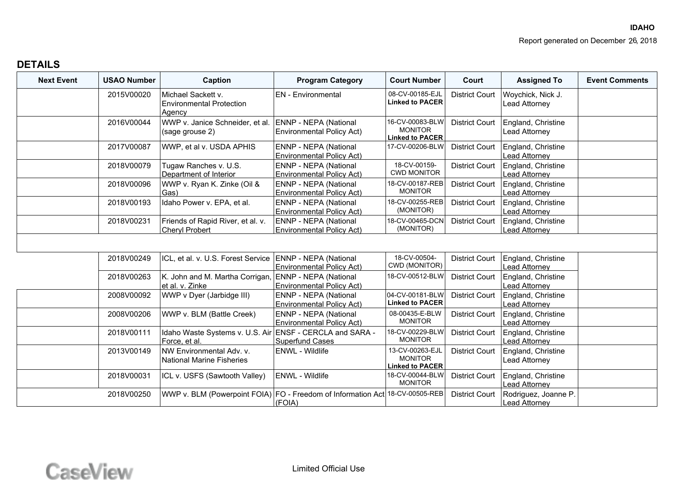| <b>Next Event</b> | <b>USAO Number</b> | Caption                                                                      | <b>Program Category</b>                                   | <b>Court Number</b>                                         | Court                 | <b>Assigned To</b>                         | <b>Event Comments</b> |
|-------------------|--------------------|------------------------------------------------------------------------------|-----------------------------------------------------------|-------------------------------------------------------------|-----------------------|--------------------------------------------|-----------------------|
|                   | 2015V00020         | Michael Sackett v.<br><b>Environmental Protection</b><br>Agency              | <b>EN</b> - Environmental                                 | 08-CV-00185-EJL<br><b>Linked to PACER</b>                   | <b>District Court</b> | Woychick, Nick J.<br>Lead Attorney         |                       |
|                   | 2016V00044         | WWP v. Janice Schneider, et al. ENNP - NEPA (National<br>(sage grouse 2)     | <b>Environmental Policy Act)</b>                          | 16-CV-00083-BLW<br><b>MONITOR</b><br><b>Linked to PACER</b> | <b>District Court</b> | England, Christine<br>Lead Attorney        |                       |
|                   | 2017V00087         | WWP, et al v. USDA APHIS                                                     | ENNP - NEPA (National<br><b>Environmental Policy Act)</b> | 17-CV-00206-BLW                                             | <b>District Court</b> | England, Christine<br>Lead Attorney        |                       |
|                   | 2018V00079         | Tugaw Ranches v. U.S.<br>Department of Interior                              | ENNP - NEPA (National<br><b>Environmental Policy Act)</b> | 18-CV-00159-<br><b>CWD MONITOR</b>                          | <b>District Court</b> | England, Christine<br>Lead Attorney        |                       |
|                   | 2018V00096         | WWP v. Ryan K. Zinke (Oil &<br>Gas)                                          | ENNP - NEPA (National<br><b>Environmental Policy Act)</b> | 18-CV-00187-REB<br><b>MONITOR</b>                           | <b>District Court</b> | England, Christine<br>Lead Attorney        |                       |
|                   | 2018V00193         | Idaho Power v. EPA, et al.                                                   | ENNP - NEPA (National<br><b>Environmental Policy Act)</b> | 18-CV-00255-REB<br>(MONITOR)                                | <b>District Court</b> | England, Christine<br>Lead Attorney        |                       |
|                   | 2018V00231         | Friends of Rapid River, et al. v.<br><b>Cheryl Probert</b>                   | ENNP - NEPA (National<br><b>Environmental Policy Act)</b> | 18-CV-00465-DCN<br>(MONITOR)                                | <b>District Court</b> | England, Christine<br>Lead Attorney        |                       |
|                   |                    |                                                                              |                                                           |                                                             |                       |                                            |                       |
|                   | 2018V00249         | ICL, et al. v. U.S. Forest Service   ENNP - NEPA (National                   | <b>Environmental Policy Act)</b>                          | 18-CV-00504-<br>CWD (MONITOR)                               | <b>District Court</b> | England, Christine<br>Lead Attorney        |                       |
|                   | 2018V00263         | K. John and M. Martha Corrigan, ENNP - NEPA (National<br>et al. v. Zinke     | <b>Environmental Policy Act)</b>                          | 18-CV-00512-BLW                                             | <b>District Court</b> | England, Christine<br>Lead Attorney        |                       |
|                   | 2008V00092         | WWP v Dyer (Jarbidge III)                                                    | ENNP - NEPA (National<br><b>Environmental Policy Act)</b> | 04-CV-00181-BLW<br><b>Linked to PACER</b>                   | <b>District Court</b> | England, Christine<br>Lead Attorney        |                       |
|                   | 2008V00206         | WWP v. BLM (Battle Creek)                                                    | ENNP - NEPA (National<br><b>Environmental Policy Act)</b> | 08-00435-E-BLW<br><b>MONITOR</b>                            | <b>District Court</b> | England, Christine<br>Lead Attorney        |                       |
|                   | 2018V00111         | Idaho Waste Systems v. U.S. Air ENSF - CERCLA and SARA -<br>Force, et al.    | <b>Superfund Cases</b>                                    | 18-CV-00229-BLW<br><b>MONITOR</b>                           | <b>District Court</b> | England, Christine<br><b>Lead Attorney</b> |                       |
|                   | 2013V00149         | NW Environmental Adv. v.<br><b>National Marine Fisheries</b>                 | ENWL - Wildlife                                           | 13-CV-00263-EJL<br><b>MONITOR</b><br><b>Linked to PACER</b> | <b>District Court</b> | England, Christine<br>Lead Attorney        |                       |
|                   | 2018V00031         | ICL v. USFS (Sawtooth Valley)                                                | <b>ENWL - Wildlife</b>                                    | 18-CV-00044-BLW<br><b>MONITOR</b>                           | <b>District Court</b> | England, Christine<br>Lead Attorney        |                       |
|                   | 2018V00250         | WWP v. BLM (Powerpoint FOIA) FO - Freedom of Information Act 18-CV-00505-REB | (FOIA)                                                    |                                                             | <b>District Court</b> | Rodriguez, Joanne P.<br>Lead Attorney      |                       |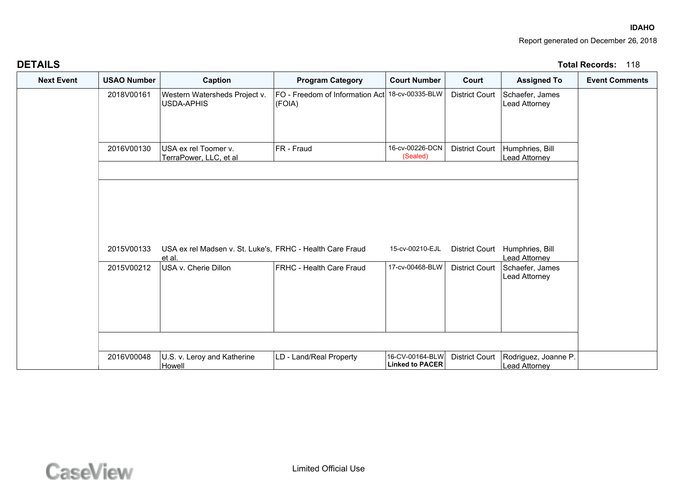#### **IDAHO**Report generated on December 26, 2018

| <b>DETAILS</b>    |                    |                                                                     |                                                           |                                           |                       |                                         | Total Records:<br>ାୀ୪ |
|-------------------|--------------------|---------------------------------------------------------------------|-----------------------------------------------------------|-------------------------------------------|-----------------------|-----------------------------------------|-----------------------|
| <b>Next Event</b> | <b>USAO Number</b> | Caption                                                             | <b>Program Category</b>                                   | <b>Court Number</b>                       | Court                 | <b>Assigned To</b>                      | <b>Event Comments</b> |
|                   | 2018V00161         | Western Watersheds Project v.<br><b>USDA-APHIS</b>                  | FO - Freedom of Information Act 18-cv-00335-BLW<br>(FOIA) |                                           | <b>District Court</b> | Schaefer, James<br>Lead Attorney        |                       |
|                   | 2016V00130         | USA ex rel Toomer v.<br>TerraPower, LLC, et al                      | FR - Fraud                                                | 16-cv-00226-DCN<br>(Sealed)               | <b>District Court</b> | Humphries, Bill<br><b>Lead Attorney</b> |                       |
|                   | 2015V00133         | USA ex rel Madsen v. St. Luke's, FRHC - Health Care Fraud<br>et al. |                                                           | 15-cv-00210-EJL                           | <b>District Court</b> | Humphries, Bill<br>Lead Attorney        |                       |
|                   | 2015V00212         | USA v. Cherie Dillon                                                | <b>FRHC - Health Care Fraud</b>                           | 17-cv-00468-BLW                           | <b>District Court</b> | Schaefer, James<br><b>Lead Attorney</b> |                       |
|                   | 2016V00048         | U.S. v. Leroy and Katherine<br>Howell                               | LD - Land/Real Property                                   | 16-CV-00164-BLW<br><b>Linked to PACER</b> | <b>District Court</b> | Rodriguez, Joanne P.<br>Lead Attorney   |                       |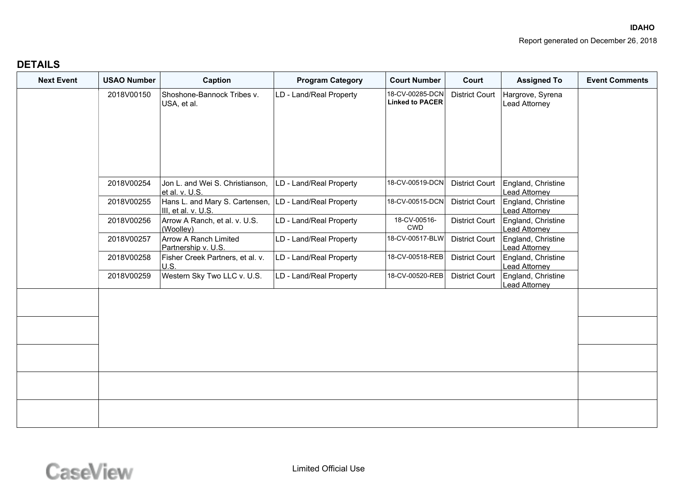| <b>Next Event</b> | <b>USAO Number</b> | Caption                                               | <b>Program Category</b> | <b>Court Number</b>                       | Court                 | <b>Assigned To</b>                         | <b>Event Comments</b> |
|-------------------|--------------------|-------------------------------------------------------|-------------------------|-------------------------------------------|-----------------------|--------------------------------------------|-----------------------|
|                   | 2018V00150         | Shoshone-Bannock Tribes v.<br>USA, et al.             | LD - Land/Real Property | 18-CV-00285-DCN<br><b>Linked to PACER</b> | <b>District Court</b> | Hargrove, Syrena<br><b>Lead Attorney</b>   |                       |
|                   | 2018V00254         | Jon L. and Wei S. Christianson,<br>et al. v. U.S.     | LD - Land/Real Property | 18-CV-00519-DCN                           | <b>District Court</b> | England, Christine<br>Lead Attorney        |                       |
|                   | 2018V00255         | Hans L. and Mary S. Cartensen,<br>III, et al. v. U.S. | LD - Land/Real Property | 18-CV-00515-DCN                           | <b>District Court</b> | England, Christine<br><b>Lead Attorney</b> |                       |
|                   | 2018V00256         | Arrow A Ranch, et al. v. U.S.<br>(Woolley)            | LD - Land/Real Property | 18-CV-00516-<br><b>CWD</b>                | <b>District Court</b> | England, Christine<br><b>Lead Attorney</b> |                       |
|                   | 2018V00257         | <b>Arrow A Ranch Limited</b><br>Partnership v. U.S.   | LD - Land/Real Property | 18-CV-00517-BLW                           | <b>District Court</b> | England, Christine<br>Lead Attorney        |                       |
|                   | 2018V00258         | Fisher Creek Partners, et al. v.<br>U.S.              | LD - Land/Real Property | 18-CV-00518-REB                           | <b>District Court</b> | England, Christine<br><b>Lead Attorney</b> |                       |
|                   | 2018V00259         | Western Sky Two LLC v. U.S.                           | LD - Land/Real Property | 18-CV-00520-REB                           | <b>District Court</b> | England, Christine<br>Lead Attorney        |                       |
|                   |                    |                                                       |                         |                                           |                       |                                            |                       |
|                   |                    |                                                       |                         |                                           |                       |                                            |                       |
|                   |                    |                                                       |                         |                                           |                       |                                            |                       |
|                   |                    |                                                       |                         |                                           |                       |                                            |                       |
|                   |                    |                                                       |                         |                                           |                       |                                            |                       |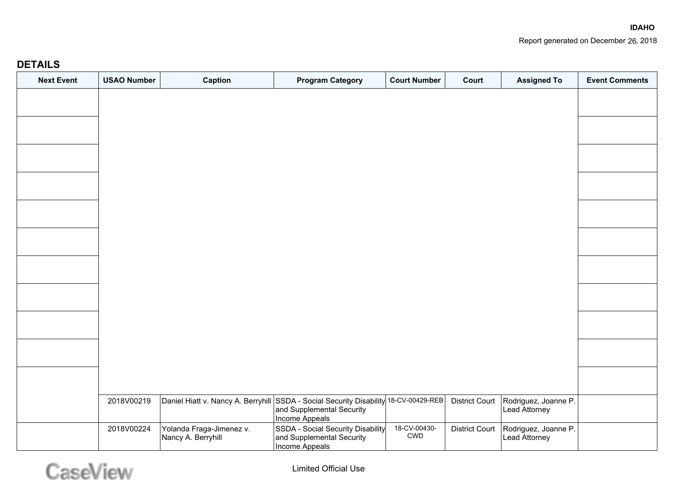| <b>Next Event</b> | <b>USAO Number</b> | Caption                                                                                                                    | <b>Program Category</b>                                                          | <b>Court Number</b>                         | Court                 | <b>Assigned To</b>                    | <b>Event Comments</b> |
|-------------------|--------------------|----------------------------------------------------------------------------------------------------------------------------|----------------------------------------------------------------------------------|---------------------------------------------|-----------------------|---------------------------------------|-----------------------|
|                   |                    |                                                                                                                            |                                                                                  |                                             |                       |                                       |                       |
|                   |                    |                                                                                                                            |                                                                                  |                                             |                       |                                       |                       |
|                   |                    |                                                                                                                            |                                                                                  |                                             |                       |                                       |                       |
|                   |                    |                                                                                                                            |                                                                                  |                                             |                       |                                       |                       |
|                   |                    |                                                                                                                            |                                                                                  |                                             |                       |                                       |                       |
|                   |                    |                                                                                                                            |                                                                                  |                                             |                       |                                       |                       |
|                   |                    |                                                                                                                            |                                                                                  |                                             |                       |                                       |                       |
|                   |                    |                                                                                                                            |                                                                                  |                                             |                       |                                       |                       |
|                   |                    |                                                                                                                            |                                                                                  |                                             |                       |                                       |                       |
|                   |                    |                                                                                                                            |                                                                                  |                                             |                       |                                       |                       |
|                   |                    |                                                                                                                            |                                                                                  |                                             |                       |                                       |                       |
|                   |                    |                                                                                                                            |                                                                                  |                                             |                       |                                       |                       |
|                   | 2018V00219         | $\big $ Daniel Hiatt v. Nancy A. Berryhill $\big {\rm SSD}$ A - Social Security Disability $\big $ 18-CV-00429-REB $\big $ | and Supplemental Security<br>Income Appeals                                      |                                             | <b>District Court</b> | Rodriguez, Joanne P.<br>Lead Attorney |                       |
|                   | 2018V00224         | Yolanda Fraga-Jimenez v.<br>Nancy A. Berryhill                                                                             | SSDA - Social Security Disability<br>and Supplemental Security<br>Income Appeals | 18-CV-00430-<br>$\ensuremath{\mathsf{CWD}}$ | <b>District Court</b> | Rodriguez, Joanne P.<br>Lead Attorney |                       |

# CaseView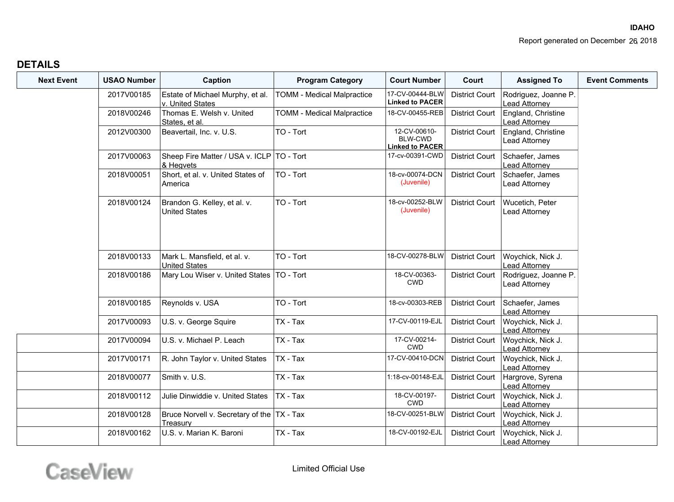| <b>Next Event</b> | <b>USAO Number</b> | Caption                                                  | <b>Program Category</b>           | <b>Court Number</b>                                      | Court                 | <b>Assigned To</b>                         | <b>Event Comments</b> |
|-------------------|--------------------|----------------------------------------------------------|-----------------------------------|----------------------------------------------------------|-----------------------|--------------------------------------------|-----------------------|
|                   | 2017V00185         | Estate of Michael Murphy, et al.<br>v. United States     | <b>TOMM - Medical Malpractice</b> | 17-CV-00444-BLW<br><b>Linked to PACER</b>                | <b>District Court</b> | Rodriguez, Joanne P.<br>Lead Attorney      |                       |
|                   | 2018V00246         | Thomas E. Welsh v. United<br>States, et al.              | <b>TOMM - Medical Malpractice</b> | 18-CV-00455-REB                                          | <b>District Court</b> | England, Christine<br><b>Lead Attorney</b> |                       |
|                   | 2012V00300         | Beavertail, Inc. v. U.S.                                 | TO - Tort                         | 12-CV-00610-<br><b>BLW-CWD</b><br><b>Linked to PACER</b> | <b>District Court</b> | England, Christine<br>Lead Attorney        |                       |
|                   | 2017V00063         | Sheep Fire Matter / USA v. ICLP   TO - Tort<br>& Hegvets |                                   | 17-cv-00391-CWD                                          | <b>District Court</b> | Schaefer, James<br>Lead Attorney           |                       |
|                   | 2018V00051         | Short, et al. v. United States of<br>America             | TO - Tort                         | 18-cv-00074-DCN<br>(Juvenile)                            | <b>District Court</b> | Schaefer, James<br>Lead Attorney           |                       |
|                   | 2018V00124         | Brandon G. Kelley, et al. v.<br><b>United States</b>     | TO - Tort                         | 18-cv-00252-BLW<br>(Juvenile)                            | <b>District Court</b> | Wucetich, Peter<br>Lead Attorney           |                       |
|                   | 2018V00133         | Mark L. Mansfield, et al. v.<br><b>United States</b>     | TO - Tort                         | 18-CV-00278-BLW                                          | <b>District Court</b> | Woychick, Nick J.<br>Lead Attorney         |                       |
|                   | 2018V00186         | Mary Lou Wiser v. United States   TO - Tort              |                                   | 18-CV-00363-<br><b>CWD</b>                               | <b>District Court</b> | Rodriguez, Joanne P.<br>Lead Attorney      |                       |
|                   | 2018V00185         | Reynolds v. USA                                          | TO - Tort                         | 18-cv-00303-REB                                          | <b>District Court</b> | Schaefer, James<br>Lead Attorney           |                       |
|                   | 2017V00093         | U.S. v. George Squire                                    | TX - Tax                          | 17-CV-00119-EJL                                          | <b>District Court</b> | Woychick, Nick J.<br>Lead Attorney         |                       |
|                   | 2017V00094         | U.S. v. Michael P. Leach                                 | TX - Tax                          | 17-CV-00214-<br><b>CWD</b>                               | <b>District Court</b> | Woychick, Nick J.<br>Lead Attorney         |                       |
|                   | 2017V00171         | R. John Taylor v. United States                          | TX - Tax                          | 17-CV-00410-DCN                                          | <b>District Court</b> | Woychick, Nick J.<br>Lead Attorney         |                       |
|                   | 2018V00077         | Smith v. U.S.                                            | TX - Tax                          | 1:18-cv-00148-EJL                                        | <b>District Court</b> | Hargrove, Syrena<br>Lead Attorney          |                       |
|                   | 2018V00112         | Julie Dinwiddie v. United States                         | $ TX - Tax$                       | 18-CV-00197-<br><b>CWD</b>                               | <b>District Court</b> | Woychick, Nick J.<br>Lead Attorney         |                       |
|                   | 2018V00128         | Bruce Norvell v. Secretary of the   TX - Tax<br>Treasurv |                                   | 18-CV-00251-BLW                                          | <b>District Court</b> | Woychick, Nick J.<br>Lead Attorney         |                       |
|                   | 2018V00162         | U.S. v. Marian K. Baroni                                 | $TX - Tax$                        | 18-CV-00192-EJL                                          | <b>District Court</b> | Woychick, Nick J.<br><b>Lead Attorney</b>  |                       |

CaseView